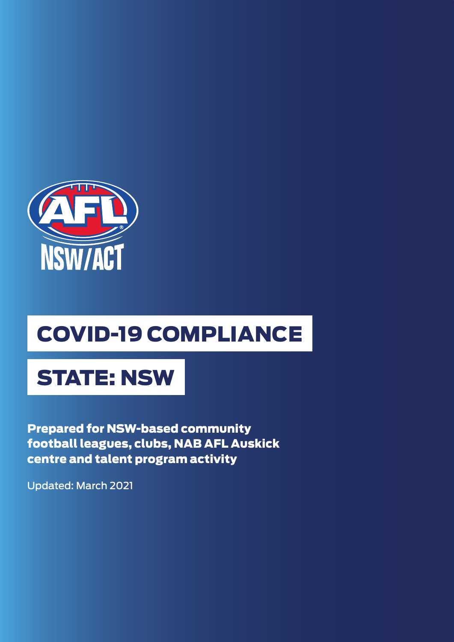

# COVID-19 COMPLIANCE

# STATE: NSW

Prepared for NSW-based community football leagues, clubs, NAB AFL Auskick centre and talent program activity

Updated: March 2021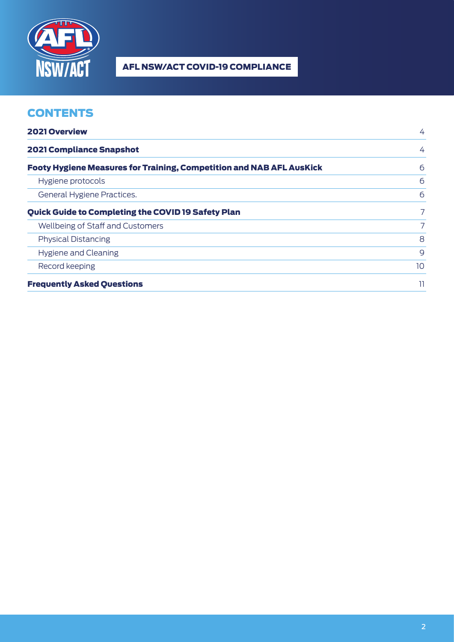

# **CONTENTS**

| <b>2021 Overview</b>                                                        | 4               |
|-----------------------------------------------------------------------------|-----------------|
| <b>2021 Compliance Snapshot</b>                                             | 4               |
| <b>Footy Hygiene Measures for Training, Competition and NAB AFL AusKick</b> | 6               |
| Hygiene protocols                                                           | 6               |
| General Hygiene Practices.                                                  | 6               |
| Quick Guide to Completing the COVID 19 Safety Plan                          | 7               |
| Wellbeing of Staff and Customers                                            | 7               |
| <b>Physical Distancing</b>                                                  | 8               |
| <b>Hygiene and Cleaning</b>                                                 | 9               |
| Record keeping                                                              | 10 <sup>2</sup> |
| <b>Frequently Asked Questions</b>                                           | 11              |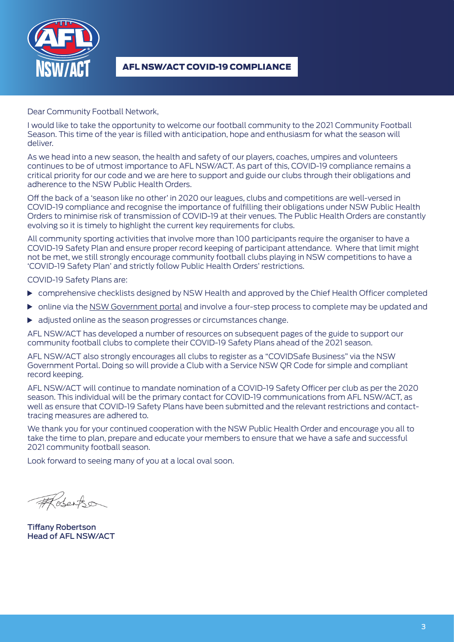

Dear Community Football Network,

I would like to take the opportunity to welcome our football community to the 2021 Community Football Season. This time of the year is filled with anticipation, hope and enthusiasm for what the season will deliver.

As we head into a new season, the health and safety of our players, coaches, umpires and volunteers continues to be of utmost importance to AFL NSW/ACT. As part of this, COVID-19 compliance remains a critical priority for our code and we are here to support and guide our clubs through their obligations and adherence to the NSW Public Health Orders.

Off the back of a 'season like no other' in 2020 our leagues, clubs and competitions are well-versed in COVID-19 compliance and recognise the importance of fulfilling their obligations under NSW Public Health Orders to minimise risk of transmission of COVID-19 at their venues. The Public Health Orders are constantly evolving so it is timely to highlight the current key requirements for clubs.

All community sporting activities that involve more than 100 participants require the organiser to have a COVID-19 Safety Plan and ensure proper record keeping of participant attendance. Where that limit might not be met, we still strongly encourage community football clubs playing in NSW competitions to have a 'COVID-19 Safety Plan' and strictly follow Public Health Orders' restrictions.

COVID-19 Safety Plans are:

- comprehensive checklists designed by NSW Health and approved by the Chief Health Officer completed
- online via the NSW Government portal and involve a four-step process to complete may be updated and
- adjusted online as the season progresses or circumstances change.

AFL NSW/ACT has developed a number of resources on subsequent pages of the guide to support our community football clubs to complete their COVID-19 Safety Plans ahead of the 2021 season.

AFL NSW/ACT also strongly encourages all clubs to register as a "COVIDSafe Business" via the NSW Government Portal. Doing so will provide a Club with a Service NSW QR Code for simple and compliant record keeping.

AFL NSW/ACT will continue to mandate nomination of a COVID-19 Safety Officer per club as per the 2020 season. This individual will be the primary contact for COVID-19 communications from AFL NSW/ACT, as well as ensure that COVID-19 Safety Plans have been submitted and the relevant restrictions and contacttracing measures are adhered to.

We thank you for your continued cooperation with the NSW Public Health Order and encourage you all to take the time to plan, prepare and educate your members to ensure that we have a safe and successful 2021 community football season.

Look forward to seeing many of you at a local oval soon.

# oberto

Tiffany Robertson Head of AFL NSW/ACT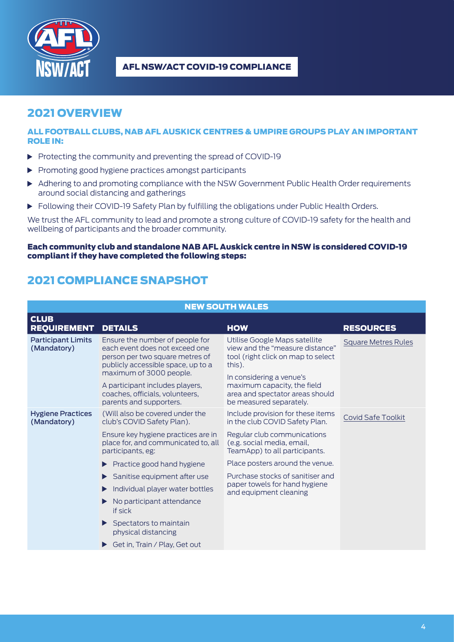

# 2021 OVERVIEW

### ALL FOOTBALL CLUBS, NAB AFL AUSKICK CENTRES & UMPIRE GROUPS PLAY AN IMPORTANT ROLE IN:

- $\triangleright$  Protecting the community and preventing the spread of COVID-19
- **Promoting good hygiene practices amongst participants**
- Adhering to and promoting compliance with the NSW Government Public Health Order requirements around social distancing and gatherings
- Following their COVID-19 Safety Plan by fulfilling the obligations under Public Health Orders.

We trust the AFL community to lead and promote a strong culture of COVID-19 safety for the health and wellbeing of participants and the broader community.

# Each community club and standalone NAB AFL Auskick centre in NSW is considered COVID-19 compliant if they have completed the following steps:

# 2021 COMPLIANCE SNAPSHOT

| <b>NEW SOUTH WALES</b>                   |                                                                                                                                                                                                                                                                                                                                                                                             |                                                                                                                                                                                                                                                                                                     |                            |  |  |
|------------------------------------------|---------------------------------------------------------------------------------------------------------------------------------------------------------------------------------------------------------------------------------------------------------------------------------------------------------------------------------------------------------------------------------------------|-----------------------------------------------------------------------------------------------------------------------------------------------------------------------------------------------------------------------------------------------------------------------------------------------------|----------------------------|--|--|
| <b>CLUB</b><br><b>REQUIREMENT</b>        | <b>DETAILS</b>                                                                                                                                                                                                                                                                                                                                                                              | <b>HOW</b>                                                                                                                                                                                                                                                                                          | <b>RESOURCES</b>           |  |  |
| <b>Participant Limits</b><br>(Mandatory) | Ensure the number of people for<br>each event does not exceed one<br>person per two square metres of<br>publicly accessible space, up to a<br>maximum of 3000 people.<br>A participant includes players,<br>coaches, officials, volunteers,<br>parents and supporters.                                                                                                                      | Utilise Google Maps satellite<br>view and the "measure distance"<br>tool (right click on map to select<br>this).<br>In considering a venue's<br>maximum capacity, the field<br>area and spectator areas should<br>be measured separately.                                                           | <b>Square Metres Rules</b> |  |  |
| <b>Hygiene Practices</b><br>(Mandatory)  | (Will also be covered under the<br>club's COVID Safety Plan).<br>Ensure key hygiene practices are in<br>place for, and communicated to, all<br>participants, eg:<br>Practice good hand hygiene<br>Sanitise equipment after use<br>Individual player water bottles<br>No participant attendance<br>if sick<br>Spectators to maintain<br>physical distancing<br>Get in, Train / Play, Get out | Include provision for these items<br>in the club COVID Safety Plan.<br>Regular club communications<br>(e.g. social media, email,<br>TeamApp) to all participants.<br>Place posters around the venue.<br>Purchase stocks of sanitiser and<br>paper towels for hand hygiene<br>and equipment cleaning | <b>Covid Safe Toolkit</b>  |  |  |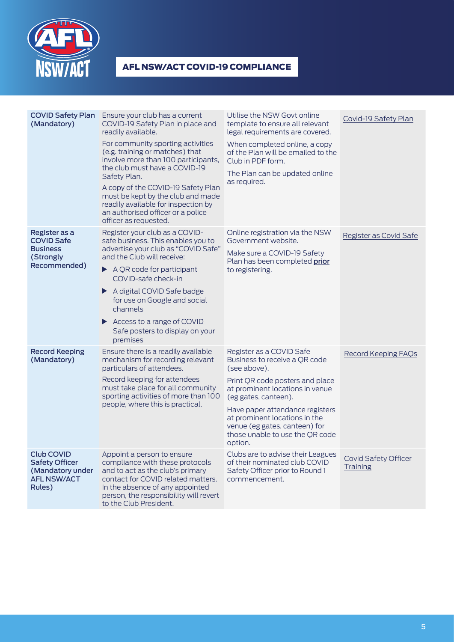

| <b>COVID Safety Plan</b><br>(Mandatory)                                                        | Ensure your club has a current<br>COVID-19 Safety Plan in place and<br>readily available.<br>For community sporting activities<br>(e.g. training or matches) that<br>involve more than 100 participants,<br>the club must have a COVID-19<br>Safety Plan.<br>A copy of the COVID-19 Safety Plan<br>must be kept by the club and made<br>readily available for inspection by<br>an authorised officer or a police<br>officer as requested. | Utilise the NSW Govt online<br>template to ensure all relevant<br>legal requirements are covered.<br>When completed online, a copy<br>of the Plan will be emailed to the<br>Club in PDF form.<br>The Plan can be updated online<br>as required.                                                                            | Covid-19 Safety Plan                    |
|------------------------------------------------------------------------------------------------|-------------------------------------------------------------------------------------------------------------------------------------------------------------------------------------------------------------------------------------------------------------------------------------------------------------------------------------------------------------------------------------------------------------------------------------------|----------------------------------------------------------------------------------------------------------------------------------------------------------------------------------------------------------------------------------------------------------------------------------------------------------------------------|-----------------------------------------|
| Register as a<br><b>COVID Safe</b><br><b>Business</b><br>(Strongly<br>Recommended)             | Register your club as a COVID-<br>safe business. This enables you to<br>advertise your club as "COVID Safe"<br>and the Club will receive:<br>$\triangleright$ A QR code for participant<br>COVID-safe check-in<br>A digital COVID Safe badge<br>for use on Google and social<br>channels<br>Access to a range of COVID<br>Safe posters to display on your<br>premises                                                                     | Online registration via the NSW<br>Government website.<br>Make sure a COVID-19 Safety<br>Plan has been completed prior<br>to registering.                                                                                                                                                                                  | Register as Covid Safe                  |
| <b>Record Keeping</b><br>(Mandatory)                                                           | Ensure there is a readily available<br>mechanism for recording relevant<br>particulars of attendees.<br>Record keeping for attendees<br>must take place for all community<br>sporting activities of more than 100<br>people, where this is practical.                                                                                                                                                                                     | Register as a COVID Safe<br>Business to receive a QR code<br>(see above).<br>Print QR code posters and place<br>at prominent locations in venue<br>(eg gates, canteen).<br>Have paper attendance registers<br>at prominent locations in the<br>venue (eg gates, canteen) for<br>those unable to use the QR code<br>option. | <b>Record Keeping FAQs</b>              |
| <b>Club COVID</b><br><b>Safety Officer</b><br>(Mandatory under<br><b>AFL NSW/ACT</b><br>Rules) | Appoint a person to ensure<br>compliance with these protocols<br>and to act as the club's primary<br>contact for COVID related matters.<br>In the absence of any appointed<br>person, the responsibility will revert<br>to the Club President.                                                                                                                                                                                            | Clubs are to advise their Leagues<br>of their nominated club COVID<br>Safety Officer prior to Round 1<br>commencement.                                                                                                                                                                                                     | <b>Covid Safety Officer</b><br>Training |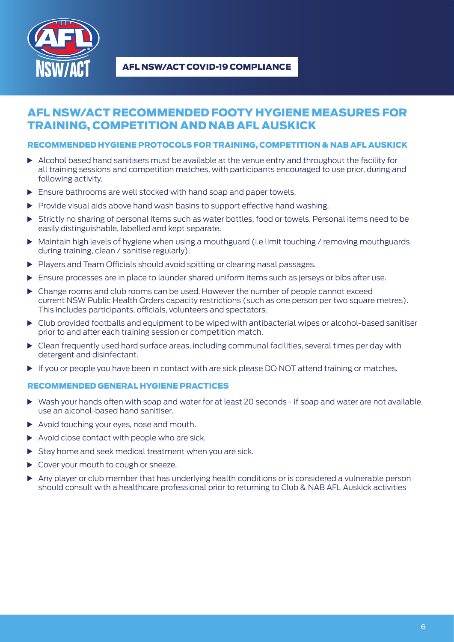

# AFL NSW/ACT RECOMMENDED FOOTY HYGIENE MEASURES FOR TRAINING, COMPETITION AND NAB AFL AUSKICK

# RECOMMENDED HYGIENE PROTOCOLS FOR TRAINING, COMPETITION & NAB AFL AUSKICK

- $\blacktriangleright$  Alcohol based hand sanitisers must be available at the venue entry and throughout the facility for all training sessions and competition matches, with participants encouraged to use prior, during and following activity.
- Ensure bathrooms are well stocked with hand soap and paper towels.
- $\triangleright$  Provide visual aids above hand wash basins to support effective hand washing.
- Strictly no sharing of personal items such as water bottles, food or towels. Personal items need to be easily distinguishable, labelled and kept separate.
- Maintain high levels of hygiene when using a mouthguard (i.e limit touching / removing mouthguards during training, clean / sanitise regularly).
- Players and Team Officials should avoid spitting or clearing nasal passages.
- Ensure processes are in place to launder shared uniform items such as jerseys or bibs after use.
- Change rooms and club rooms can be used. However the number of people cannot exceed current NSW Public Health Orders capacity restrictions (such as one person per two square metres). This includes participants, officials, volunteers and spectators.
- Club provided footballs and equipment to be wiped with antibacterial wipes or alcohol-based sanitiser prior to and after each training session or competition match.
- Clean frequently used hard surface areas, including communal facilities, several times per day with detergent and disinfectant.
- If you or people you have been in contact with are sick please DO NOT attend training or matches.

### RECOMMENDED GENERAL HYGIENE PRACTICES

- Wash your hands often with soap and water for at least 20 seconds if soap and water are not available, use an alcohol-based hand sanitiser.
- Avoid touching your eyes, nose and mouth.
- $\triangleright$  Avoid close contact with people who are sick.
- $\triangleright$  Stay home and seek medical treatment when you are sick.
- ▶ Cover your mouth to cough or sneeze.
- Any player or club member that has underlying health conditions or is considered a vulnerable person should consult with a healthcare professional prior to returning to Club & NAB AFL Auskick activities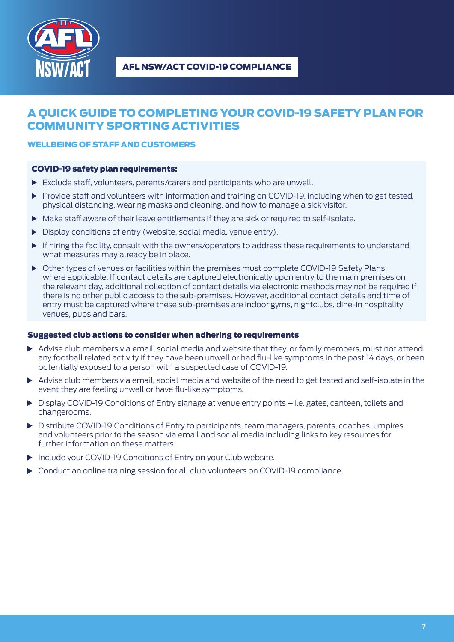

# A QUICK GUIDE TO COMPLETING YOUR COVID-19 SAFETY PLAN FOR COMMUNITY SPORTING ACTIVITIES

# WELLBEING OF STAFF AND CUSTOMERS

### COVID-19 safety plan requirements:

- $\triangleright$  Exclude staff, volunteers, parents/carers and participants who are unwell.
- **Provide staff and volunteers with information and training on COVID-19, including when to get tested,** physical distancing, wearing masks and cleaning, and how to manage a sick visitor.
- Make staff aware of their leave entitlements if they are sick or required to self-isolate.
- Display conditions of entry (website, social media, venue entry).
- If hiring the facility, consult with the owners/operators to address these requirements to understand what measures may already be in place.
- Other types of venues or facilities within the premises must complete COVID-19 Safety Plans where applicable. If contact details are captured electronically upon entry to the main premises on the relevant day, additional collection of contact details via electronic methods may not be required if there is no other public access to the sub-premises. However, additional contact details and time of entry must be captured where these sub-premises are indoor gyms, nightclubs, dine-in hospitality venues, pubs and bars.

- $\blacktriangleright$  Advise club members via email, social media and website that they, or family members, must not attend any football related activity if they have been unwell or had flu-like symptoms in the past 14 days, or been potentially exposed to a person with a suspected case of COVID-19.
- Advise club members via email, social media and website of the need to get tested and self-isolate in the event they are feeling unwell or have flu-like symptoms.
- Display COVID-19 Conditions of Entry signage at venue entry points i.e. gates, canteen, toilets and changerooms.
- Distribute COVID-19 Conditions of Entry to participants, team managers, parents, coaches, umpires and volunteers prior to the season via email and social media including links to key resources for further information on these matters.
- Include your COVID-19 Conditions of Entry on your Club website.
- Conduct an online training session for all club volunteers on COVID-19 compliance.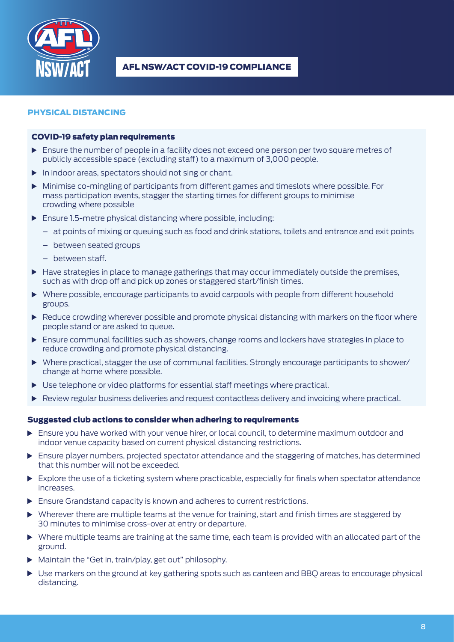

# PHYSICAL DISTANCING

### COVID-19 safety plan requirements

- **Ensure the number of people in a facility does not exceed one person per two square metres of** publicly accessible space (excluding staff) to a maximum of 3,000 people.
- $\blacktriangleright$  In indoor areas, spectators should not sing or chant.
- Minimise co-mingling of participants from different games and timeslots where possible. For mass participation events, stagger the starting times for different groups to minimise crowding where possible
- **Ensure 1.5-metre physical distancing where possible, including:** 
	- at points of mixing or queuing such as food and drink stations, toilets and entrance and exit points
	- between seated groups
	- between staff.
- $\blacktriangleright$  Have strategies in place to manage gatherings that may occur immediately outside the premises, such as with drop off and pick up zones or staggered start/finish times.
- Where possible, encourage participants to avoid carpools with people from different household groups.
- $\blacktriangleright$  Reduce crowding wherever possible and promote physical distancing with markers on the floor where people stand or are asked to queue.
- Ensure communal facilities such as showers, change rooms and lockers have strategies in place to reduce crowding and promote physical distancing.
- Where practical, stagger the use of communal facilities. Strongly encourage participants to shower/ change at home where possible.
- Use telephone or video platforms for essential staff meetings where practical.
- $\blacktriangleright$  Review regular business deliveries and request contactless delivery and invoicing where practical.

- Ensure you have worked with your venue hirer, or local council, to determine maximum outdoor and indoor venue capacity based on current physical distancing restrictions.
- $\blacktriangleright$  Ensure player numbers, projected spectator attendance and the staggering of matches, has determined that this number will not be exceeded.
- $\blacktriangleright$  Explore the use of a ticketing system where practicable, especially for finals when spectator attendance increases.
- Ensure Grandstand capacity is known and adheres to current restrictions.
- Wherever there are multiple teams at the venue for training, start and finish times are staggered by 30 minutes to minimise cross-over at entry or departure.
- Where multiple teams are training at the same time, each team is provided with an allocated part of the ground.
- Maintain the "Get in, train/play, get out" philosophy.
- Use markers on the ground at key gathering spots such as canteen and BBQ areas to encourage physical distancing.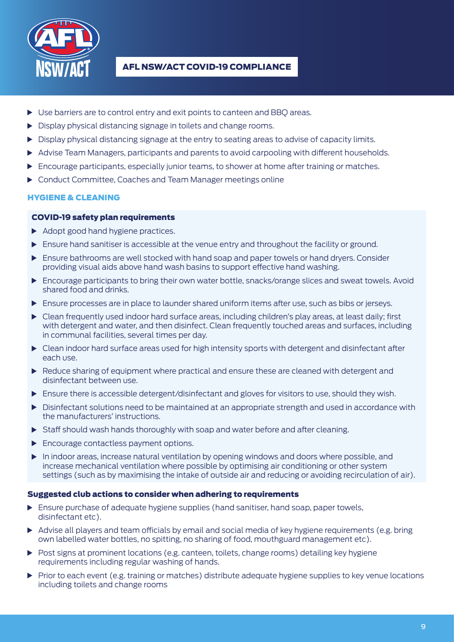

- Use barriers are to control entry and exit points to canteen and BBQ areas.
- Display physical distancing signage in toilets and change rooms.
- $\triangleright$  Display physical distancing signage at the entry to seating areas to advise of capacity limits.
- Advise Team Managers, participants and parents to avoid carpooling with different households.
- $\triangleright$  Encourage participants, especially junior teams, to shower at home after training or matches.
- Conduct Committee, Coaches and Team Manager meetings online

# HYGIENE & CLEANING

# COVID-19 safety plan requirements

- $\blacktriangleright$  Adopt good hand hygiene practices.
- **Ensure hand sanitiser is accessible at the venue entry and throughout the facility or ground.**
- Ensure bathrooms are well stocked with hand soap and paper towels or hand dryers. Consider providing visual aids above hand wash basins to support effective hand washing.
- Encourage participants to bring their own water bottle, snacks/orange slices and sweat towels. Avoid shared food and drinks.
- $\triangleright$  Ensure processes are in place to launder shared uniform items after use, such as bibs or jerseys.
- $\triangleright$  Clean frequently used indoor hard surface areas, including children's play areas, at least daily; first with detergent and water, and then disinfect. Clean frequently touched areas and surfaces, including in communal facilities, several times per day.
- Clean indoor hard surface areas used for high intensity sports with detergent and disinfectant after each use.
- Reduce sharing of equipment where practical and ensure these are cleaned with detergent and disinfectant between use.
- **Ensure there is accessible detergent/disinfectant and gloves for visitors to use, should they wish.**
- Disinfectant solutions need to be maintained at an appropriate strength and used in accordance with the manufacturers' instructions.
- $\triangleright$  Staff should wash hands thoroughly with soap and water before and after cleaning.
- **Encourage contactless payment options.**
- In indoor areas, increase natural ventilation by opening windows and doors where possible, and increase mechanical ventilation where possible by optimising air conditioning or other system settings (such as by maximising the intake of outside air and reducing or avoiding recirculation of air).

- $\blacktriangleright$  Ensure purchase of adequate hygiene supplies (hand sanitiser, hand soap, paper towels, disinfectant etc).
- $\triangleright$  Advise all players and team officials by email and social media of key hygiene requirements (e.g. bring own labelled water bottles, no spitting, no sharing of food, mouthguard management etc).
- **Post signs at prominent locations (e.g. canteen, toilets, change rooms) detailing key hygiene** requirements including regular washing of hands.
- **Prior to each event (e.g. training or matches) distribute adequate hygiene supplies to key venue locations** including toilets and change rooms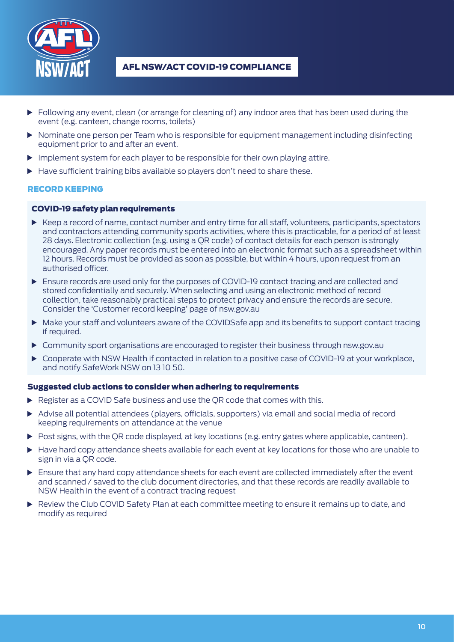

- **Following any event, clean (or arrange for cleaning of) any indoor area that has been used during the** event (e.g. canteen, change rooms, toilets)
- $\triangleright$  Nominate one person per Team who is responsible for equipment management including disinfecting equipment prior to and after an event.
- Implement system for each player to be responsible for their own playing attire.
- $\blacktriangleright$  Have sufficient training bibs available so players don't need to share these.

## RECORD KEEPING

### COVID-19 safety plan requirements

- $\triangleright$  Keep a record of name, contact number and entry time for all staff, volunteers, participants, spectators and contractors attending community sports activities, where this is practicable, for a period of at least 28 days. Electronic collection (e.g. using a QR code) of contact details for each person is strongly encouraged. Any paper records must be entered into an electronic format such as a spreadsheet within 12 hours. Records must be provided as soon as possible, but within 4 hours, upon request from an authorised officer.
- **E** Ensure records are used only for the purposes of COVID-19 contact tracing and are collected and stored confidentially and securely. When selecting and using an electronic method of record collection, take reasonably practical steps to protect privacy and ensure the records are secure. Consider the 'Customer record keeping' page of nsw.gov.au
- Make your staff and volunteers aware of the COVIDSafe app and its benefits to support contact tracing if required.
- Community sport organisations are encouraged to register their business through nsw.gov.au
- Cooperate with NSW Health if contacted in relation to a positive case of COVID-19 at your workplace, and notify SafeWork NSW on 13 10 50.

- $\triangleright$  Register as a COVID Safe business and use the OR code that comes with this.
- Advise all potential attendees (players, officials, supporters) via email and social media of record keeping requirements on attendance at the venue
- Post signs, with the QR code displayed, at key locations (e.g. entry gates where applicable, canteen).
- Have hard copy attendance sheets available for each event at key locations for those who are unable to sign in via a QR code.
- Ensure that any hard copy attendance sheets for each event are collected immediately after the event and scanned / saved to the club document directories, and that these records are readily available to NSW Health in the event of a contract tracing request
- Review the Club COVID Safety Plan at each committee meeting to ensure it remains up to date, and modify as required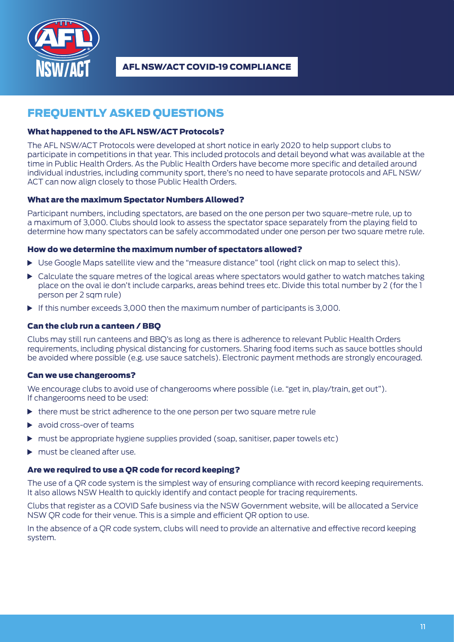

# FREQUENTLY ASKED QUESTIONS

# What happened to the AFL NSW/ACT Protocols?

The AFL NSW/ACT Protocols were developed at short notice in early 2020 to help support clubs to participate in competitions in that year. This included protocols and detail beyond what was available at the time in Public Health Orders. As the Public Health Orders have become more specific and detailed around individual industries, including community sport, there's no need to have separate protocols and AFL NSW/ ACT can now align closely to those Public Health Orders.

# What are the maximum Spectator Numbers Allowed?

Participant numbers, including spectators, are based on the one person per two square-metre rule, up to a maximum of 3,000. Clubs should look to assess the spectator space separately from the playing field to determine how many spectators can be safely accommodated under one person per two square metre rule.

# How do we determine the maximum number of spectators allowed?

- $\triangleright$  Use Google Maps satellite view and the "measure distance" tool (right click on map to select this).
- $\triangleright$  Calculate the square metres of the logical areas where spectators would gather to watch matches taking place on the oval ie don't include carparks, areas behind trees etc. Divide this total number by 2 (for the 1 person per 2 sqm rule)
- If this number exceeds 3,000 then the maximum number of participants is 3,000.

# Can the club run a canteen / BBQ

Clubs may still run canteens and BBQ's as long as there is adherence to relevant Public Health Orders requirements, including physical distancing for customers. Sharing food items such as sauce bottles should be avoided where possible (e.g. use sauce satchels). Electronic payment methods are strongly encouraged.

# Can we use changerooms?

We encourage clubs to avoid use of changerooms where possible (i.e. "get in, play/train, get out"). If changerooms need to be used:

- there must be strict adherence to the one person per two square metre rule
- avoid cross-over of teams
- must be appropriate hygiene supplies provided (soap, sanitiser, paper towels etc)
- must be cleaned after use.

# Are we required to use a QR code for record keeping?

The use of a QR code system is the simplest way of ensuring compliance with record keeping requirements. It also allows NSW Health to quickly identify and contact people for tracing requirements.

Clubs that register as a COVID Safe business via the NSW Government website, will be allocated a Service NSW QR code for their venue. This is a simple and efficient QR option to use.

In the absence of a QR code system, clubs will need to provide an alternative and effective record keeping system.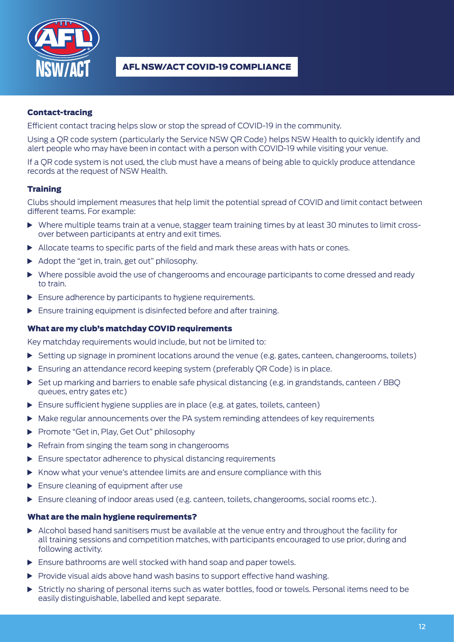

# Contact-tracing

Efficient contact tracing helps slow or stop the spread of COVID-19 in the community.

Using a QR code system (particularly the Service NSW QR Code) helps NSW Health to quickly identify and alert people who may have been in contact with a person with COVID-19 while visiting your venue.

If a QR code system is not used, the club must have a means of being able to quickly produce attendance records at the request of NSW Health.

# **Training**

Clubs should implement measures that help limit the potential spread of COVID and limit contact between different teams. For example:

- Where multiple teams train at a venue, stagger team training times by at least 30 minutes to limit crossover between participants at entry and exit times.
- Allocate teams to specific parts of the field and mark these areas with hats or cones.
- Adopt the "get in, train, get out" philosophy.
- Where possible avoid the use of changerooms and encourage participants to come dressed and ready to train.
- **Ensure adherence by participants to hygiene requirements.**
- **Ensure training equipment is disinfected before and after training.**

### What are my club's matchday COVID requirements

Key matchday requirements would include, but not be limited to:

- Setting up signage in prominent locations around the venue (e.g. gates, canteen, changerooms, toilets)
- Ensuring an attendance record keeping system (preferably QR Code) is in place.
- $\triangleright$  Set up marking and barriers to enable safe physical distancing (e.g. in grandstands, canteen / BBO queues, entry gates etc)
- $\triangleright$  Ensure sufficient hygiene supplies are in place (e.g. at gates, toilets, canteen)
- Make regular announcements over the PA system reminding attendees of key requirements
- Promote "Get in, Play, Get Out" philosophy
- $\blacktriangleright$  Refrain from singing the team song in changerooms
- **Ensure spectator adherence to physical distancing requirements**
- $\triangleright$  Know what your venue's attendee limits are and ensure compliance with this
- **Ensure cleaning of equipment after use**
- $\triangleright$  Ensure cleaning of indoor areas used (e.g. canteen, toilets, changerooms, social rooms etc.).

#### What are the main hygiene requirements?

- $\triangleright$  Alcohol based hand sanitisers must be available at the venue entry and throughout the facility for all training sessions and competition matches, with participants encouraged to use prior, during and following activity.
- $\blacktriangleright$  Ensure bathrooms are well stocked with hand soap and paper towels.
- $\triangleright$  Provide visual aids above hand wash basins to support effective hand washing.
- Strictly no sharing of personal items such as water bottles, food or towels. Personal items need to be easily distinguishable, labelled and kept separate.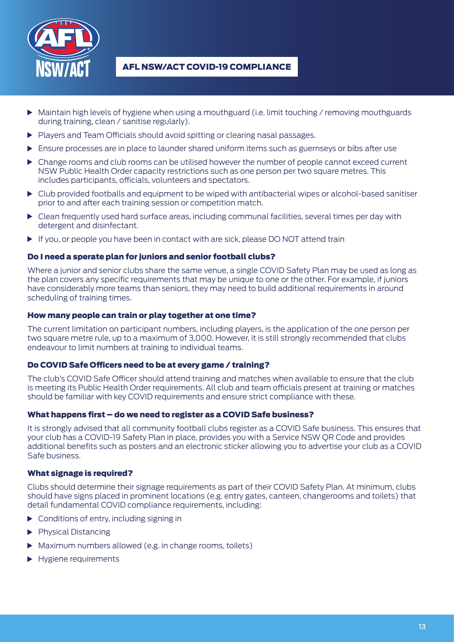

- Maintain high levels of hygiene when using a mouthguard (i.e. limit touching / removing mouthguards during training, clean / sanitise regularly).
- Players and Team Officials should avoid spitting or clearing nasal passages.
- **Ensure processes are in place to launder shared uniform items such as guernseys or bibs after use**
- Change rooms and club rooms can be utilised however the number of people cannot exceed current NSW Public Health Order capacity restrictions such as one person per two square metres. This includes participants, officials, volunteers and spectators.
- Club provided footballs and equipment to be wiped with antibacterial wipes or alcohol-based sanitiser prior to and after each training session or competition match.
- $\triangleright$  Clean frequently used hard surface areas, including communal facilities, several times per day with detergent and disinfectant.
- If you, or people you have been in contact with are sick, please DO NOT attend train

### Do I need a sperate plan for juniors and senior football clubs?

Where a junior and senior clubs share the same venue, a single COVID Safety Plan may be used as long as the plan covers any specific requirements that may be unique to one or the other. For example, if juniors have considerably more teams than seniors, they may need to build additional requirements in around scheduling of training times.

#### How many people can train or play together at one time?

The current limitation on participant numbers, including players, is the application of the one person per two square metre rule, up to a maximum of 3,000. However, it is still strongly recommended that clubs endeavour to limit numbers at training to individual teams.

### Do COVID Safe Officers need to be at every game / training?

The club's COVID Safe Officer should attend training and matches when available to ensure that the club is meeting its Public Health Order requirements. All club and team officials present at training or matches should be familiar with key COVID requirements and ensure strict compliance with these.

### What happens first – do we need to register as a COVID Safe business?

It is strongly advised that all community football clubs register as a COVID Safe business. This ensures that your club has a COVID-19 Safety Plan in place, provides you with a Service NSW QR Code and provides additional benefits such as posters and an electronic sticker allowing you to advertise your club as a COVID Safe business.

### What signage is required?

Clubs should determine their signage requirements as part of their COVID Safety Plan. At minimum, clubs should have signs placed in prominent locations (e.g. entry gates, canteen, changerooms and toilets) that detail fundamental COVID compliance requirements, including:

- **Conditions of entry, including signing in**
- **Physical Distancing**
- Maximum numbers allowed (e.g. in change rooms, toilets)
- Hygiene requirements